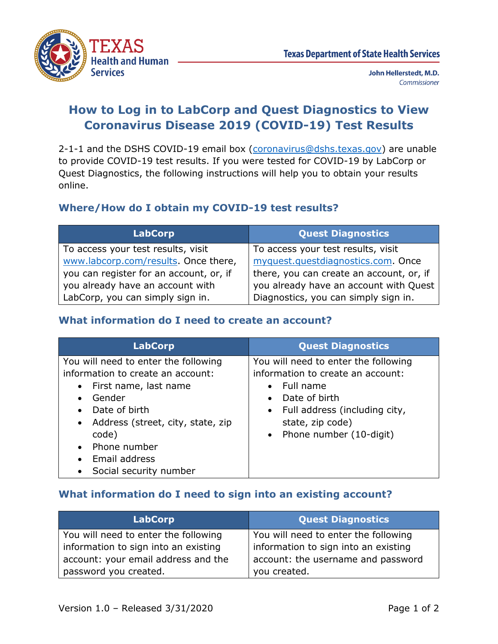

John Hellerstedt, M.D. Commissioner

## **How to Log in to LabCorp and Quest Diagnostics to View Coronavirus Disease 2019 (COVID-19) Test Results**

2-1-1 and the DSHS COVID-19 email box [\(coronavirus@dshs.texas.gov\)](mailto:coronavirus@dshs.texas.gov) are unable to provide COVID-19 test results. If you were tested for COVID-19 by LabCorp or Quest Diagnostics, the following instructions will help you to obtain your results online.

### **Where/How do I obtain my COVID-19 test results?**

| <b>LabCorp</b>                          | <b>Quest Diagnostics</b>                 |
|-----------------------------------------|------------------------------------------|
| To access your test results, visit      | To access your test results, visit       |
| www.labcorp.com/results. Once there,    | myquest.questdiagnostics.com. Once       |
| you can register for an account, or, if | there, you can create an account, or, if |
| you already have an account with        | you already have an account with Quest   |
| LabCorp, you can simply sign in.        | Diagnostics, you can simply sign in.     |

### **What information do I need to create an account?**

| <b>LabCorp</b>                                 | <b>Quest Diagnostics</b>                   |
|------------------------------------------------|--------------------------------------------|
| You will need to enter the following           | You will need to enter the following       |
| information to create an account:              | information to create an account:          |
| First name, last name<br>$\bullet$             | Full name<br>$\bullet$                     |
| Gender                                         | Date of birth<br>$\bullet$                 |
| Date of birth                                  | Full address (including city,<br>$\bullet$ |
| Address (street, city, state, zip<br>$\bullet$ | state, zip code)                           |
| code)                                          | • Phone number $(10$ -digit)               |
| Phone number                                   |                                            |
| Email address                                  |                                            |
| Social security number                         |                                            |

#### **What information do I need to sign into an existing account?**

| <b>LabCorp</b>                       | <b>Quest Diagnostics</b>             |
|--------------------------------------|--------------------------------------|
| You will need to enter the following | You will need to enter the following |
| information to sign into an existing | information to sign into an existing |
| account: your email address and the  | account: the username and password   |
| password you created.                | you created.                         |